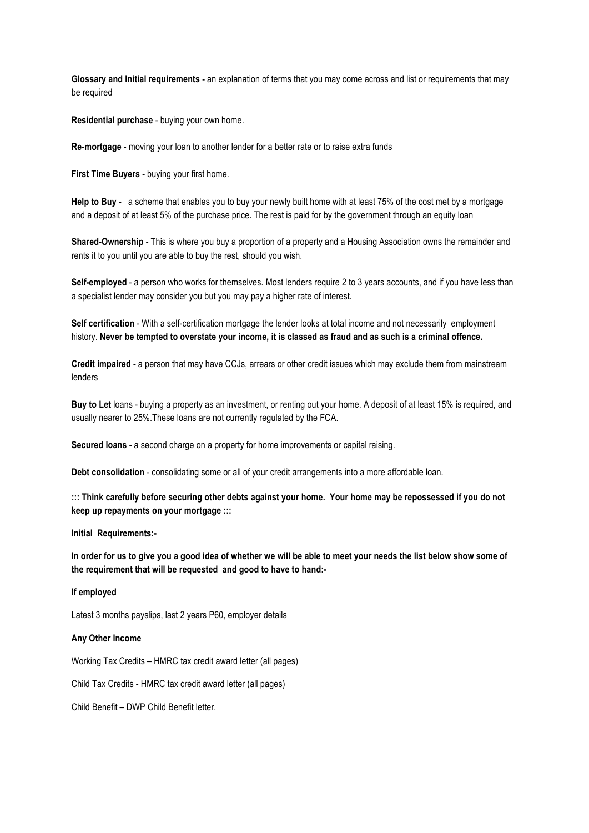**Glossary and Initial requirements -** an explanation of terms that you may come across and list or requirements that may be required

**Residential purchase** - buying your own home.

**Re-mortgage** - moving your loan to another lender for a better rate or to raise extra funds

**First Time Buyers** - buying your first home.

**Help to Buy -** a scheme that enables you to buy your newly built home with at least 75% of the cost met by a mortgage and a deposit of at least 5% of the purchase price. The rest is paid for by the government through an equity loan

**Shared-Ownership** - This is where you buy a proportion of a property and a Housing Association owns the remainder and rents it to you until you are able to buy the rest, should you wish.

**Self-employed** - a person who works for themselves. Most lenders require 2 to 3 years accounts, and if you have less than a specialist lender may consider you but you may pay a higher rate of interest.

**Self certification** - With a self-certification mortgage the lender looks at total income and not necessarily employment history. **Never be tempted to overstate your income, it is classed as fraud and as such is a criminal offence.** 

**Credit impaired** - a person that may have CCJs, arrears or other credit issues which may exclude them from mainstream lenders

**Buy to Let** loans - buying a property as an investment, or renting out your home. A deposit of at least 15% is required, and usually nearer to 25%.These loans are not currently regulated by the FCA.

**Secured loans** - a second charge on a property for home improvements or capital raising.

**Debt consolidation** - consolidating some or all of your credit arrangements into a more affordable loan.

**::: Think carefully before securing other debts against your home. Your home may be repossessed if you do not keep up repayments on your mortgage :::**

**Initial Requirements:-**

**In order for us to give you a good idea of whether we will be able to meet your needs the list below show some of the requirement that will be requested and good to have to hand:-**

## **If employed**

Latest 3 months payslips, last 2 years P60, employer details

## **Any Other Income**

Working Tax Credits – HMRC tax credit award letter (all pages)

Child Tax Credits - HMRC tax credit award letter (all pages)

Child Benefit – DWP Child Benefit letter.